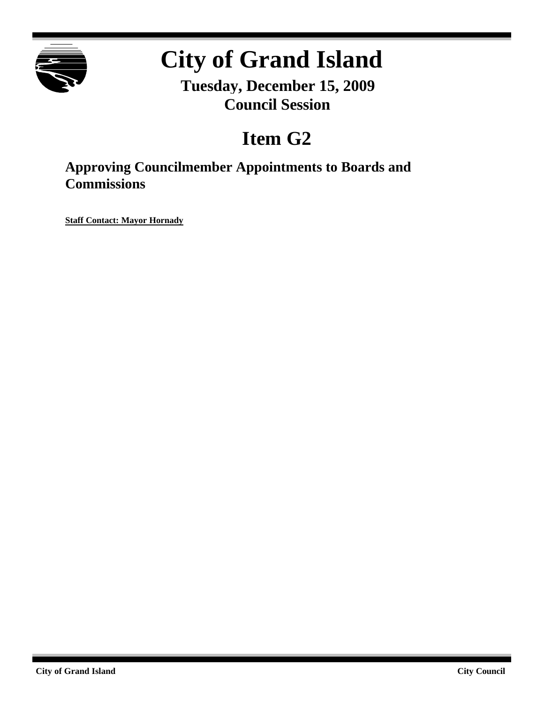

# **City of Grand Island**

**Tuesday, December 15, 2009 Council Session**

## **Item G2**

**Approving Councilmember Appointments to Boards and Commissions**

**Staff Contact: Mayor Hornady**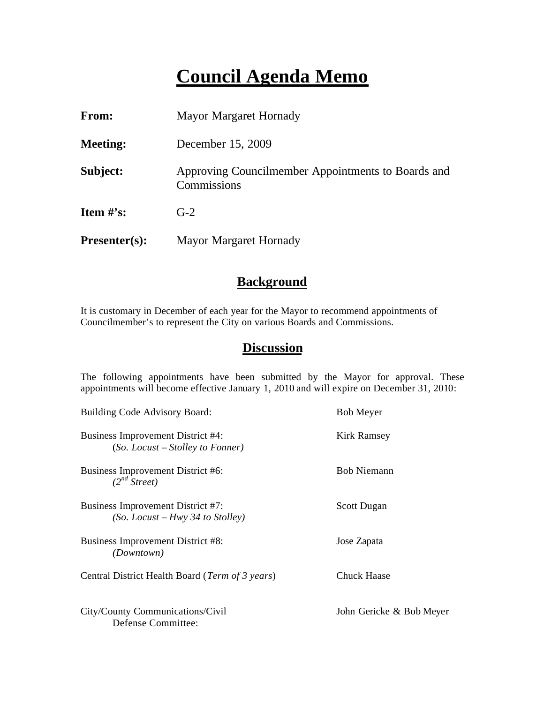### **Council Agenda Memo**

| From:                          | Mayor Margaret Hornady                                            |
|--------------------------------|-------------------------------------------------------------------|
| <b>Meeting:</b>                | December 15, 2009                                                 |
| Subject:                       | Approving Councilmember Appointments to Boards and<br>Commissions |
| <b>Item <math>\#</math>'s:</b> | $G-2$                                                             |
| $Presenter(s):$                | Mayor Margaret Hornady                                            |

#### **Background**

It is customary in December of each year for the Mayor to recommend appointments of Councilmember's to represent the City on various Boards and Commissions.

#### **Discussion**

The following appointments have been submitted by the Mayor for approval. These appointments will become effective January 1, 2010 and will expire on December 31, 2010:

| Building Code Advisory Board:                                           | <b>Bob Meyer</b>         |
|-------------------------------------------------------------------------|--------------------------|
| Business Improvement District #4:<br>$(So.$ Locust – Stolley to Fonner) | Kirk Ramsey              |
| Business Improvement District #6:<br>$(2^{nd} Street)$                  | <b>Bob Niemann</b>       |
| Business Improvement District #7:<br>(So. Locust – Hwy 34 to Stolley)   | <b>Scott Dugan</b>       |
| Business Improvement District #8:<br><i>(Downtown)</i>                  | Jose Zapata              |
| Central District Health Board (Term of 3 years)                         | <b>Chuck Haase</b>       |
| City/County Communications/Civil<br>Defense Committee:                  | John Gericke & Bob Meyer |